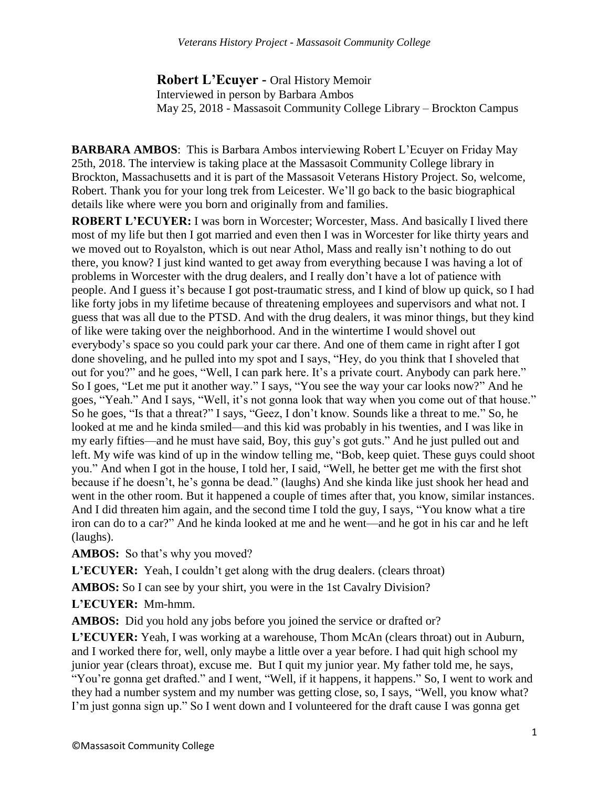**Robert L'Ecuyer -** Oral History Memoir Interviewed in person by Barbara Ambos May 25, 2018 - Massasoit Community College Library – Brockton Campus

**BARBARA AMBOS**: This is Barbara Ambos interviewing Robert L'Ecuyer on Friday May 25th, 2018. The interview is taking place at the Massasoit Community College library in Brockton, Massachusetts and it is part of the Massasoit Veterans History Project. So, welcome, Robert. Thank you for your long trek from Leicester. We'll go back to the basic biographical details like where were you born and originally from and families.

**ROBERT L'ECUYER:** I was born in Worcester; Worcester, Mass. And basically I lived there most of my life but then I got married and even then I was in Worcester for like thirty years and we moved out to Royalston, which is out near Athol, Mass and really isn't nothing to do out there, you know? I just kind wanted to get away from everything because I was having a lot of problems in Worcester with the drug dealers, and I really don't have a lot of patience with people. And I guess it's because I got post-traumatic stress, and I kind of blow up quick, so I had like forty jobs in my lifetime because of threatening employees and supervisors and what not. I guess that was all due to the PTSD. And with the drug dealers, it was minor things, but they kind of like were taking over the neighborhood. And in the wintertime I would shovel out everybody's space so you could park your car there. And one of them came in right after I got done shoveling, and he pulled into my spot and I says, "Hey, do you think that I shoveled that out for you?" and he goes, "Well, I can park here. It's a private court. Anybody can park here." So I goes, "Let me put it another way." I says, "You see the way your car looks now?" And he goes, "Yeah." And I says, "Well, it's not gonna look that way when you come out of that house." So he goes, "Is that a threat?" I says, "Geez, I don't know. Sounds like a threat to me." So, he looked at me and he kinda smiled—and this kid was probably in his twenties, and I was like in my early fifties—and he must have said, Boy, this guy's got guts." And he just pulled out and left. My wife was kind of up in the window telling me, "Bob, keep quiet. These guys could shoot you." And when I got in the house, I told her, I said, "Well, he better get me with the first shot because if he doesn't, he's gonna be dead." (laughs) And she kinda like just shook her head and went in the other room. But it happened a couple of times after that, you know, similar instances. And I did threaten him again, and the second time I told the guy, I says, "You know what a tire iron can do to a car?" And he kinda looked at me and he went—and he got in his car and he left (laughs).

**AMBOS:** So that's why you moved?

L'ECUYER: Yeah, I couldn't get along with the drug dealers. (clears throat)

**AMBOS:** So I can see by your shirt, you were in the 1st Cavalry Division?

**L'ECUYER:** Mm-hmm.

AMBOS: Did you hold any jobs before you joined the service or drafted or?

**L'ECUYER:** Yeah, I was working at a warehouse, Thom McAn (clears throat) out in Auburn, and I worked there for, well, only maybe a little over a year before. I had quit high school my junior year (clears throat), excuse me. But I quit my junior year. My father told me, he says, "You're gonna get drafted." and I went, "Well, if it happens, it happens." So, I went to work and they had a number system and my number was getting close, so, I says, "Well, you know what? I'm just gonna sign up." So I went down and I volunteered for the draft cause I was gonna get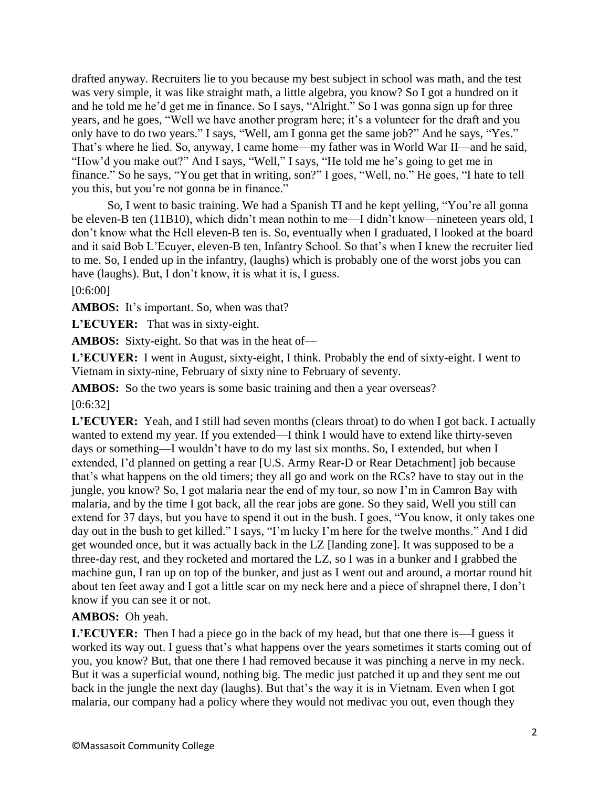drafted anyway. Recruiters lie to you because my best subject in school was math, and the test was very simple, it was like straight math, a little algebra, you know? So I got a hundred on it and he told me he'd get me in finance. So I says, "Alright." So I was gonna sign up for three years, and he goes, "Well we have another program here; it's a volunteer for the draft and you only have to do two years." I says, "Well, am I gonna get the same job?" And he says, "Yes." That's where he lied. So, anyway, I came home—my father was in World War II—and he said, "How'd you make out?" And I says, "Well," I says, "He told me he's going to get me in finance." So he says, "You get that in writing, son?" I goes, "Well, no." He goes, "I hate to tell you this, but you're not gonna be in finance."

So, I went to basic training. We had a Spanish TI and he kept yelling, "You're all gonna be eleven-B ten (11B10), which didn't mean nothin to me—I didn't know—nineteen years old, I don't know what the Hell eleven-B ten is. So, eventually when I graduated, I looked at the board and it said Bob L'Ecuyer, eleven-B ten, Infantry School. So that's when I knew the recruiter lied to me. So, I ended up in the infantry, (laughs) which is probably one of the worst jobs you can have (laughs). But, I don't know, it is what it is, I guess.

#### [0:6:00]

AMBOS: It's important. So, when was that?

**L'ECUYER:** That was in sixty-eight.

**AMBOS:** Sixty-eight. So that was in the heat of—

**L'ECUYER:** I went in August, sixty-eight, I think. Probably the end of sixty-eight. I went to Vietnam in sixty-nine, February of sixty nine to February of seventy.

AMBOS: So the two years is some basic training and then a year overseas?

#### [0:6:32]

**L'ECUYER:** Yeah, and I still had seven months (clears throat) to do when I got back. I actually wanted to extend my year. If you extended—I think I would have to extend like thirty-seven days or something—I wouldn't have to do my last six months. So, I extended, but when I extended, I'd planned on getting a rear [U.S. Army Rear-D or Rear Detachment] job because that's what happens on the old timers; they all go and work on the RCs? have to stay out in the jungle, you know? So, I got malaria near the end of my tour, so now I'm in Camron Bay with malaria, and by the time I got back, all the rear jobs are gone. So they said, Well you still can extend for 37 days, but you have to spend it out in the bush. I goes, "You know, it only takes one day out in the bush to get killed." I says, "I'm lucky I'm here for the twelve months." And I did get wounded once, but it was actually back in the LZ [landing zone]. It was supposed to be a three-day rest, and they rocketed and mortared the LZ, so I was in a bunker and I grabbed the machine gun, I ran up on top of the bunker, and just as I went out and around, a mortar round hit about ten feet away and I got a little scar on my neck here and a piece of shrapnel there, I don't know if you can see it or not.

#### **AMBOS:** Oh yeah.

**L'ECUYER:** Then I had a piece go in the back of my head, but that one there is—I guess it worked its way out. I guess that's what happens over the years sometimes it starts coming out of you, you know? But, that one there I had removed because it was pinching a nerve in my neck. But it was a superficial wound, nothing big. The medic just patched it up and they sent me out back in the jungle the next day (laughs). But that's the way it is in Vietnam. Even when I got malaria, our company had a policy where they would not medivac you out, even though they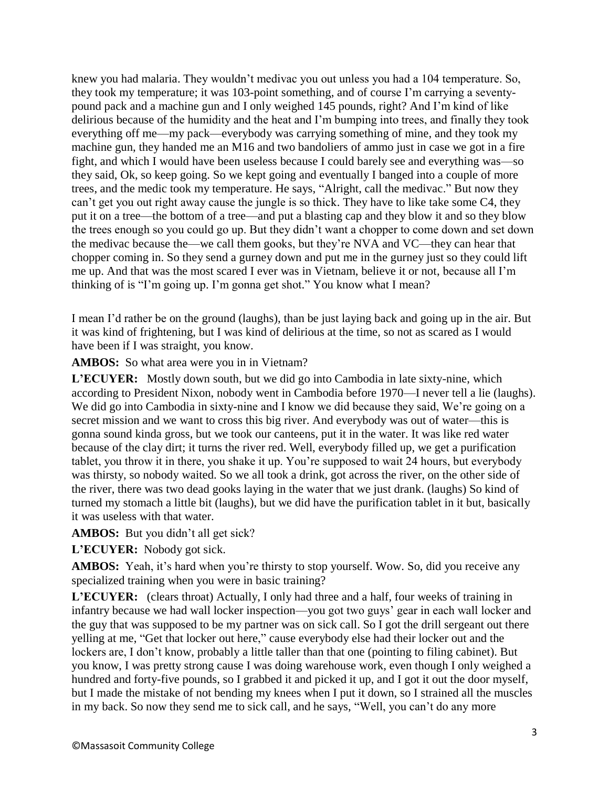knew you had malaria. They wouldn't medivac you out unless you had a 104 temperature. So, they took my temperature; it was 103-point something, and of course I'm carrying a seventypound pack and a machine gun and I only weighed 145 pounds, right? And I'm kind of like delirious because of the humidity and the heat and I'm bumping into trees, and finally they took everything off me—my pack—everybody was carrying something of mine, and they took my machine gun, they handed me an M16 and two bandoliers of ammo just in case we got in a fire fight, and which I would have been useless because I could barely see and everything was—so they said, Ok, so keep going. So we kept going and eventually I banged into a couple of more trees, and the medic took my temperature. He says, "Alright, call the medivac." But now they can't get you out right away cause the jungle is so thick. They have to like take some C4, they put it on a tree—the bottom of a tree—and put a blasting cap and they blow it and so they blow the trees enough so you could go up. But they didn't want a chopper to come down and set down the medivac because the—we call them gooks, but they're NVA and VC—they can hear that chopper coming in. So they send a gurney down and put me in the gurney just so they could lift me up. And that was the most scared I ever was in Vietnam, believe it or not, because all I'm thinking of is "I'm going up. I'm gonna get shot." You know what I mean?

I mean I'd rather be on the ground (laughs), than be just laying back and going up in the air. But it was kind of frightening, but I was kind of delirious at the time, so not as scared as I would have been if I was straight, you know.

**AMBOS:** So what area were you in in Vietnam?

**L'ECUYER:** Mostly down south, but we did go into Cambodia in late sixty-nine, which according to President Nixon, nobody went in Cambodia before 1970—I never tell a lie (laughs). We did go into Cambodia in sixty-nine and I know we did because they said, We're going on a secret mission and we want to cross this big river. And everybody was out of water—this is gonna sound kinda gross, but we took our canteens, put it in the water. It was like red water because of the clay dirt; it turns the river red. Well, everybody filled up, we get a purification tablet, you throw it in there, you shake it up. You're supposed to wait 24 hours, but everybody was thirsty, so nobody waited. So we all took a drink, got across the river, on the other side of the river, there was two dead gooks laying in the water that we just drank. (laughs) So kind of turned my stomach a little bit (laughs), but we did have the purification tablet in it but, basically it was useless with that water.

**AMBOS:** But you didn't all get sick?

**L'ECUYER:** Nobody got sick.

**AMBOS:** Yeah, it's hard when you're thirsty to stop yourself. Wow. So, did you receive any specialized training when you were in basic training?

**L'ECUYER:** (clears throat) Actually, I only had three and a half, four weeks of training in infantry because we had wall locker inspection—you got two guys' gear in each wall locker and the guy that was supposed to be my partner was on sick call. So I got the drill sergeant out there yelling at me, "Get that locker out here," cause everybody else had their locker out and the lockers are, I don't know, probably a little taller than that one (pointing to filing cabinet). But you know, I was pretty strong cause I was doing warehouse work, even though I only weighed a hundred and forty-five pounds, so I grabbed it and picked it up, and I got it out the door myself, but I made the mistake of not bending my knees when I put it down, so I strained all the muscles in my back. So now they send me to sick call, and he says, "Well, you can't do any more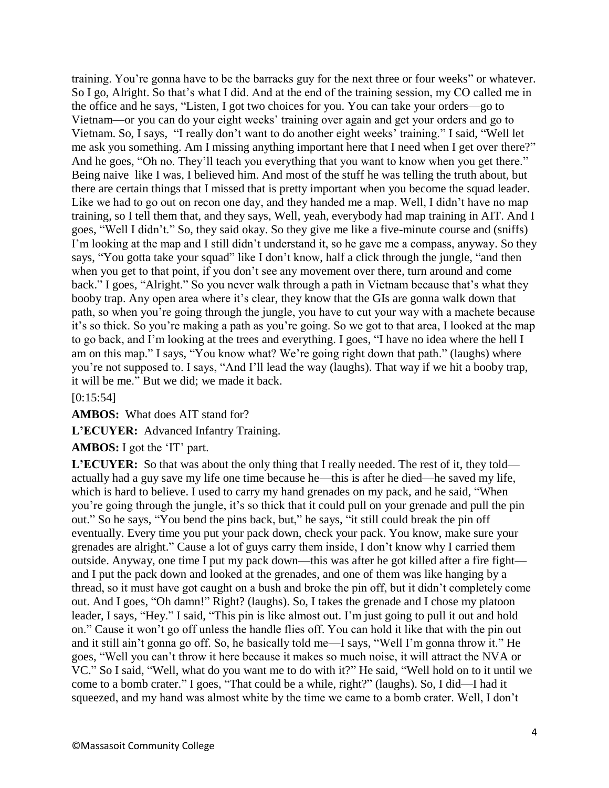training. You're gonna have to be the barracks guy for the next three or four weeks" or whatever. So I go, Alright. So that's what I did. And at the end of the training session, my CO called me in the office and he says, "Listen, I got two choices for you. You can take your orders—go to Vietnam—or you can do your eight weeks' training over again and get your orders and go to Vietnam. So, I says, "I really don't want to do another eight weeks' training." I said, "Well let me ask you something. Am I missing anything important here that I need when I get over there?" And he goes, "Oh no. They'll teach you everything that you want to know when you get there." Being naive like I was, I believed him. And most of the stuff he was telling the truth about, but there are certain things that I missed that is pretty important when you become the squad leader. Like we had to go out on recon one day, and they handed me a map. Well, I didn't have no map training, so I tell them that, and they says, Well, yeah, everybody had map training in AIT. And I goes, "Well I didn't." So, they said okay. So they give me like a five-minute course and (sniffs) I'm looking at the map and I still didn't understand it, so he gave me a compass, anyway. So they says, "You gotta take your squad" like I don't know, half a click through the jungle, "and then when you get to that point, if you don't see any movement over there, turn around and come back." I goes, "Alright." So you never walk through a path in Vietnam because that's what they booby trap. Any open area where it's clear, they know that the GIs are gonna walk down that path, so when you're going through the jungle, you have to cut your way with a machete because it's so thick. So you're making a path as you're going. So we got to that area, I looked at the map to go back, and I'm looking at the trees and everything. I goes, "I have no idea where the hell I am on this map." I says, "You know what? We're going right down that path." (laughs) where you're not supposed to. I says, "And I'll lead the way (laughs). That way if we hit a booby trap, it will be me." But we did; we made it back.

[0:15:54]

**AMBOS:** What does AIT stand for?

**L'ECUYER:** Advanced Infantry Training.

**AMBOS:** I got the 'IT' part.

L'ECUYER: So that was about the only thing that I really needed. The rest of it, they told actually had a guy save my life one time because he—this is after he died—he saved my life, which is hard to believe. I used to carry my hand grenades on my pack, and he said, "When you're going through the jungle, it's so thick that it could pull on your grenade and pull the pin out." So he says, "You bend the pins back, but," he says, "it still could break the pin off eventually. Every time you put your pack down, check your pack. You know, make sure your grenades are alright." Cause a lot of guys carry them inside, I don't know why I carried them outside. Anyway, one time I put my pack down—this was after he got killed after a fire fight and I put the pack down and looked at the grenades, and one of them was like hanging by a thread, so it must have got caught on a bush and broke the pin off, but it didn't completely come out. And I goes, "Oh damn!" Right? (laughs). So, I takes the grenade and I chose my platoon leader, I says, "Hey." I said, "This pin is like almost out. I'm just going to pull it out and hold on." Cause it won't go off unless the handle flies off. You can hold it like that with the pin out and it still ain't gonna go off. So, he basically told me—I says, "Well I'm gonna throw it." He goes, "Well you can't throw it here because it makes so much noise, it will attract the NVA or VC." So I said, "Well, what do you want me to do with it?" He said, "Well hold on to it until we come to a bomb crater." I goes, "That could be a while, right?" (laughs). So, I did—I had it squeezed, and my hand was almost white by the time we came to a bomb crater. Well, I don't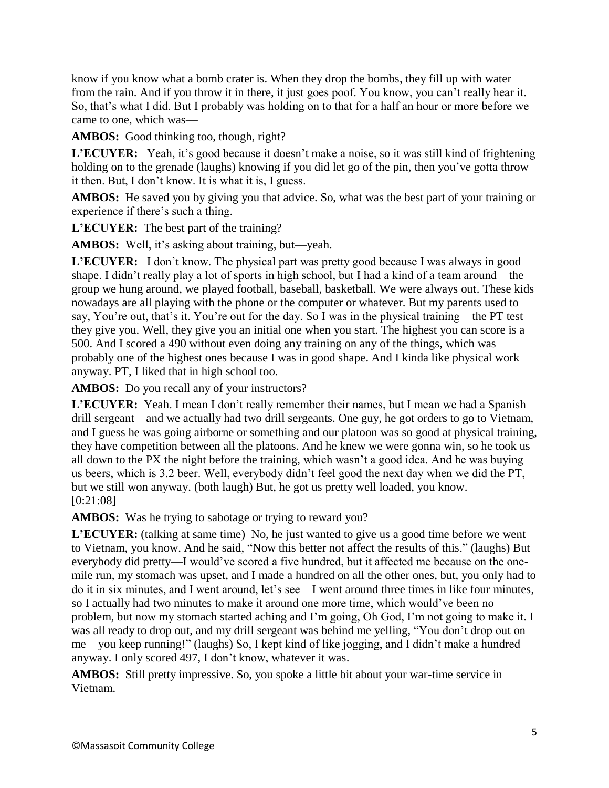know if you know what a bomb crater is. When they drop the bombs, they fill up with water from the rain. And if you throw it in there, it just goes poof. You know, you can't really hear it. So, that's what I did. But I probably was holding on to that for a half an hour or more before we came to one, which was—

**AMBOS:** Good thinking too, though, right?

L'ECUYER: Yeah, it's good because it doesn't make a noise, so it was still kind of frightening holding on to the grenade (laughs) knowing if you did let go of the pin, then you've gotta throw it then. But, I don't know. It is what it is, I guess.

**AMBOS:** He saved you by giving you that advice. So, what was the best part of your training or experience if there's such a thing.

**L'ECUYER:** The best part of the training?

**AMBOS:** Well, it's asking about training, but—yeah.

**L'ECUYER:** I don't know. The physical part was pretty good because I was always in good shape. I didn't really play a lot of sports in high school, but I had a kind of a team around—the group we hung around, we played football, baseball, basketball. We were always out. These kids nowadays are all playing with the phone or the computer or whatever. But my parents used to say, You're out, that's it. You're out for the day. So I was in the physical training—the PT test they give you. Well, they give you an initial one when you start. The highest you can score is a 500. And I scored a 490 without even doing any training on any of the things, which was probably one of the highest ones because I was in good shape. And I kinda like physical work anyway. PT, I liked that in high school too.

**AMBOS:** Do you recall any of your instructors?

**L'ECUYER:** Yeah. I mean I don't really remember their names, but I mean we had a Spanish drill sergeant—and we actually had two drill sergeants. One guy, he got orders to go to Vietnam, and I guess he was going airborne or something and our platoon was so good at physical training, they have competition between all the platoons. And he knew we were gonna win, so he took us all down to the PX the night before the training, which wasn't a good idea. And he was buying us beers, which is 3.2 beer. Well, everybody didn't feel good the next day when we did the PT, but we still won anyway. (both laugh) But, he got us pretty well loaded, you know. [0:21:08]

AMBOS: Was he trying to sabotage or trying to reward you?

L'ECUYER: (talking at same time) No, he just wanted to give us a good time before we went to Vietnam, you know. And he said, "Now this better not affect the results of this." (laughs) But everybody did pretty—I would've scored a five hundred, but it affected me because on the onemile run, my stomach was upset, and I made a hundred on all the other ones, but, you only had to do it in six minutes, and I went around, let's see—I went around three times in like four minutes, so I actually had two minutes to make it around one more time, which would've been no problem, but now my stomach started aching and I'm going, Oh God, I'm not going to make it. I was all ready to drop out, and my drill sergeant was behind me yelling, "You don't drop out on me—you keep running!" (laughs) So, I kept kind of like jogging, and I didn't make a hundred anyway. I only scored 497, I don't know, whatever it was.

**AMBOS:** Still pretty impressive. So, you spoke a little bit about your war-time service in Vietnam.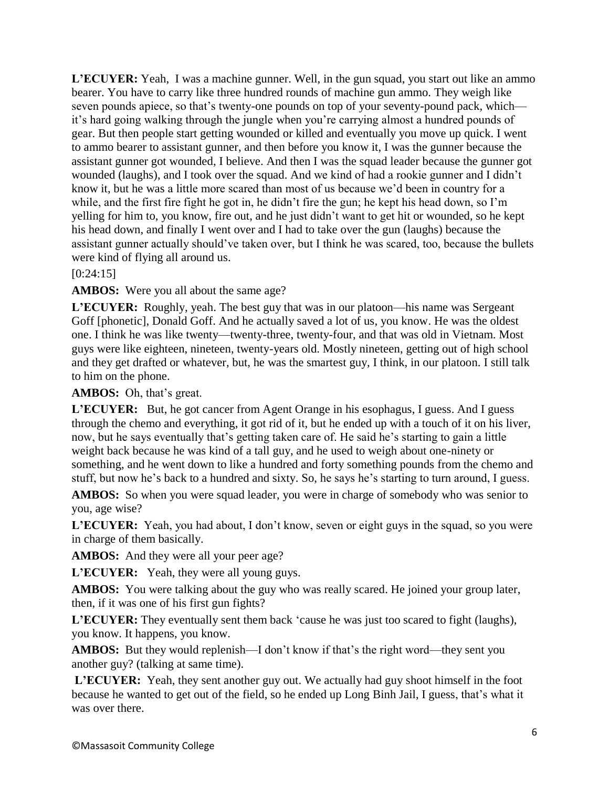**L'ECUYER:** Yeah, I was a machine gunner. Well, in the gun squad, you start out like an ammo bearer. You have to carry like three hundred rounds of machine gun ammo. They weigh like seven pounds apiece, so that's twenty-one pounds on top of your seventy-pound pack, which it's hard going walking through the jungle when you're carrying almost a hundred pounds of gear. But then people start getting wounded or killed and eventually you move up quick. I went to ammo bearer to assistant gunner, and then before you know it, I was the gunner because the assistant gunner got wounded, I believe. And then I was the squad leader because the gunner got wounded (laughs), and I took over the squad. And we kind of had a rookie gunner and I didn't know it, but he was a little more scared than most of us because we'd been in country for a while, and the first fire fight he got in, he didn't fire the gun; he kept his head down, so I'm yelling for him to, you know, fire out, and he just didn't want to get hit or wounded, so he kept his head down, and finally I went over and I had to take over the gun (laughs) because the assistant gunner actually should've taken over, but I think he was scared, too, because the bullets were kind of flying all around us.

[0:24:15]

**AMBOS:** Were you all about the same age?

**L'ECUYER:** Roughly, yeah. The best guy that was in our platoon—his name was Sergeant Goff [phonetic], Donald Goff. And he actually saved a lot of us, you know. He was the oldest one. I think he was like twenty—twenty-three, twenty-four, and that was old in Vietnam. Most guys were like eighteen, nineteen, twenty-years old. Mostly nineteen, getting out of high school and they get drafted or whatever, but, he was the smartest guy, I think, in our platoon. I still talk to him on the phone.

**AMBOS:** Oh, that's great.

**L'ECUYER:** But, he got cancer from Agent Orange in his esophagus, I guess. And I guess through the chemo and everything, it got rid of it, but he ended up with a touch of it on his liver, now, but he says eventually that's getting taken care of. He said he's starting to gain a little weight back because he was kind of a tall guy, and he used to weigh about one-ninety or something, and he went down to like a hundred and forty something pounds from the chemo and stuff, but now he's back to a hundred and sixty. So, he says he's starting to turn around, I guess.

**AMBOS:** So when you were squad leader, you were in charge of somebody who was senior to you, age wise?

L'ECUYER: Yeah, you had about, I don't know, seven or eight guys in the squad, so you were in charge of them basically.

**AMBOS:** And they were all your peer age?

**L'ECUYER:** Yeah, they were all young guys.

**AMBOS:** You were talking about the guy who was really scared. He joined your group later, then, if it was one of his first gun fights?

**L'ECUYER:** They eventually sent them back 'cause he was just too scared to fight (laughs), you know. It happens, you know.

**AMBOS:** But they would replenish—I don't know if that's the right word—they sent you another guy? (talking at same time).

**L'ECUYER:** Yeah, they sent another guy out. We actually had guy shoot himself in the foot because he wanted to get out of the field, so he ended up Long Binh Jail, I guess, that's what it was over there.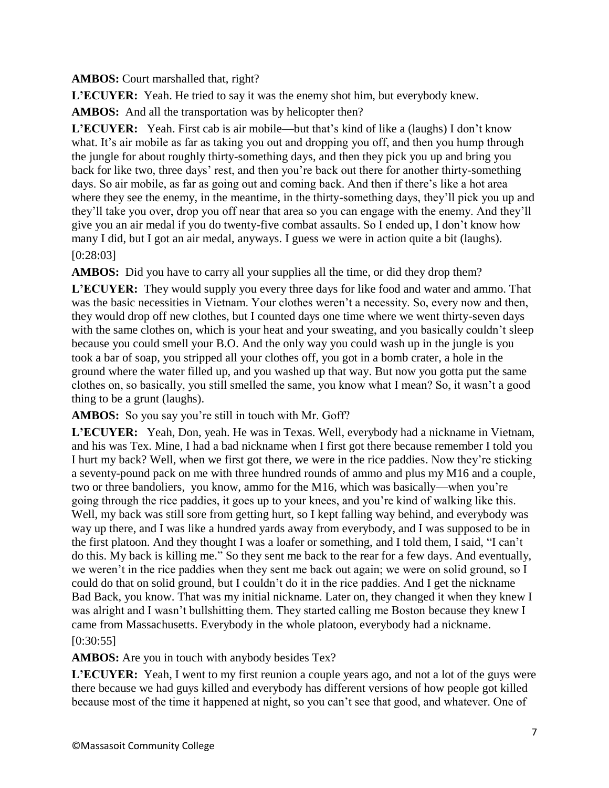**AMBOS:** Court marshalled that, right?

**L'ECUYER:** Yeah. He tried to say it was the enemy shot him, but everybody knew.

**AMBOS:** And all the transportation was by helicopter then?

**L'ECUYER:** Yeah. First cab is air mobile—but that's kind of like a (laughs) I don't know what. It's air mobile as far as taking you out and dropping you off, and then you hump through the jungle for about roughly thirty-something days, and then they pick you up and bring you back for like two, three days' rest, and then you're back out there for another thirty-something days. So air mobile, as far as going out and coming back. And then if there's like a hot area where they see the enemy, in the meantime, in the thirty-something days, they'll pick you up and they'll take you over, drop you off near that area so you can engage with the enemy. And they'll give you an air medal if you do twenty-five combat assaults. So I ended up, I don't know how many I did, but I got an air medal, anyways. I guess we were in action quite a bit (laughs).

## [0:28:03]

**AMBOS:** Did you have to carry all your supplies all the time, or did they drop them?

**L'ECUYER:** They would supply you every three days for like food and water and ammo. That was the basic necessities in Vietnam. Your clothes weren't a necessity. So, every now and then, they would drop off new clothes, but I counted days one time where we went thirty-seven days with the same clothes on, which is your heat and your sweating, and you basically couldn't sleep because you could smell your B.O. And the only way you could wash up in the jungle is you took a bar of soap, you stripped all your clothes off, you got in a bomb crater, a hole in the ground where the water filled up, and you washed up that way. But now you gotta put the same clothes on, so basically, you still smelled the same, you know what I mean? So, it wasn't a good thing to be a grunt (laughs).

AMBOS: So you say you're still in touch with Mr. Goff?

**L'ECUYER:** Yeah, Don, yeah. He was in Texas. Well, everybody had a nickname in Vietnam, and his was Tex. Mine, I had a bad nickname when I first got there because remember I told you I hurt my back? Well, when we first got there, we were in the rice paddies. Now they're sticking a seventy-pound pack on me with three hundred rounds of ammo and plus my M16 and a couple, two or three bandoliers, you know, ammo for the M16, which was basically—when you're going through the rice paddies, it goes up to your knees, and you're kind of walking like this. Well, my back was still sore from getting hurt, so I kept falling way behind, and everybody was way up there, and I was like a hundred yards away from everybody, and I was supposed to be in the first platoon. And they thought I was a loafer or something, and I told them, I said, "I can't do this. My back is killing me." So they sent me back to the rear for a few days. And eventually, we weren't in the rice paddies when they sent me back out again; we were on solid ground, so I could do that on solid ground, but I couldn't do it in the rice paddies. And I get the nickname Bad Back, you know. That was my initial nickname. Later on, they changed it when they knew I was alright and I wasn't bullshitting them. They started calling me Boston because they knew I came from Massachusetts. Everybody in the whole platoon, everybody had a nickname. [0:30:55]

# **AMBOS:** Are you in touch with anybody besides Tex?

L'ECUYER: Yeah, I went to my first reunion a couple years ago, and not a lot of the guys were there because we had guys killed and everybody has different versions of how people got killed because most of the time it happened at night, so you can't see that good, and whatever. One of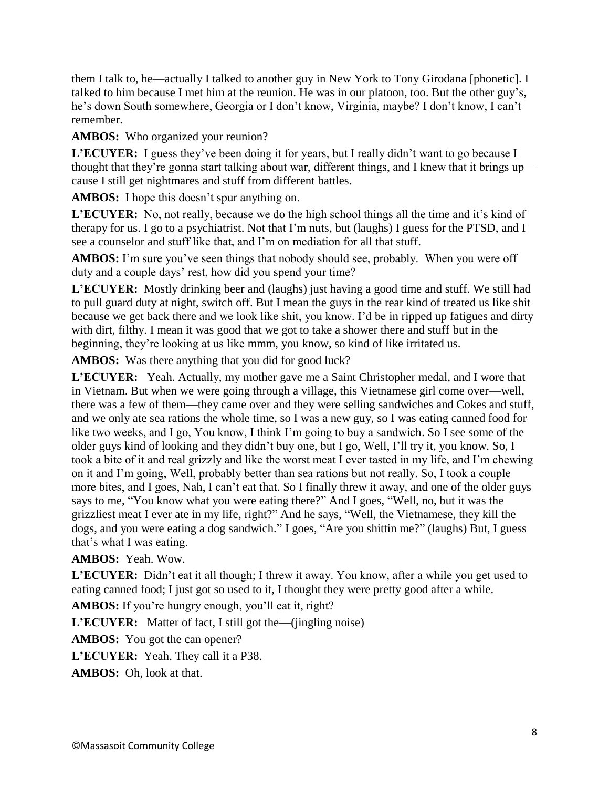them I talk to, he—actually I talked to another guy in New York to Tony Girodana [phonetic]. I talked to him because I met him at the reunion. He was in our platoon, too. But the other guy's, he's down South somewhere, Georgia or I don't know, Virginia, maybe? I don't know, I can't remember.

AMBOS: Who organized your reunion?

L'ECUYER: I guess they've been doing it for years, but I really didn't want to go because I thought that they're gonna start talking about war, different things, and I knew that it brings up cause I still get nightmares and stuff from different battles.

**AMBOS:** I hope this doesn't spur anything on.

L'ECUYER: No, not really, because we do the high school things all the time and it's kind of therapy for us. I go to a psychiatrist. Not that I'm nuts, but (laughs) I guess for the PTSD, and I see a counselor and stuff like that, and I'm on mediation for all that stuff.

**AMBOS:** I'm sure you've seen things that nobody should see, probably. When you were off duty and a couple days' rest, how did you spend your time?

**L'ECUYER:** Mostly drinking beer and (laughs) just having a good time and stuff. We still had to pull guard duty at night, switch off. But I mean the guys in the rear kind of treated us like shit because we get back there and we look like shit, you know. I'd be in ripped up fatigues and dirty with dirt, filthy. I mean it was good that we got to take a shower there and stuff but in the beginning, they're looking at us like mmm, you know, so kind of like irritated us.

AMBOS: Was there anything that you did for good luck?

**L'ECUYER:** Yeah. Actually, my mother gave me a Saint Christopher medal, and I wore that in Vietnam. But when we were going through a village, this Vietnamese girl come over—well, there was a few of them—they came over and they were selling sandwiches and Cokes and stuff, and we only ate sea rations the whole time, so I was a new guy, so I was eating canned food for like two weeks, and I go, You know, I think I'm going to buy a sandwich. So I see some of the older guys kind of looking and they didn't buy one, but I go, Well, I'll try it, you know. So, I took a bite of it and real grizzly and like the worst meat I ever tasted in my life, and I'm chewing on it and I'm going, Well, probably better than sea rations but not really. So, I took a couple more bites, and I goes, Nah, I can't eat that. So I finally threw it away, and one of the older guys says to me, "You know what you were eating there?" And I goes, "Well, no, but it was the grizzliest meat I ever ate in my life, right?" And he says, "Well, the Vietnamese, they kill the dogs, and you were eating a dog sandwich." I goes, "Are you shittin me?" (laughs) But, I guess that's what I was eating.

# **AMBOS:** Yeah. Wow.

**L'ECUYER:** Didn't eat it all though; I threw it away. You know, after a while you get used to eating canned food; I just got so used to it, I thought they were pretty good after a while.

**AMBOS:** If you're hungry enough, you'll eat it, right?

**L'ECUYER:** Matter of fact, I still got the—(jingling noise)

**AMBOS:** You got the can opener?

**L'ECUYER:** Yeah. They call it a P38.

**AMBOS:** Oh, look at that.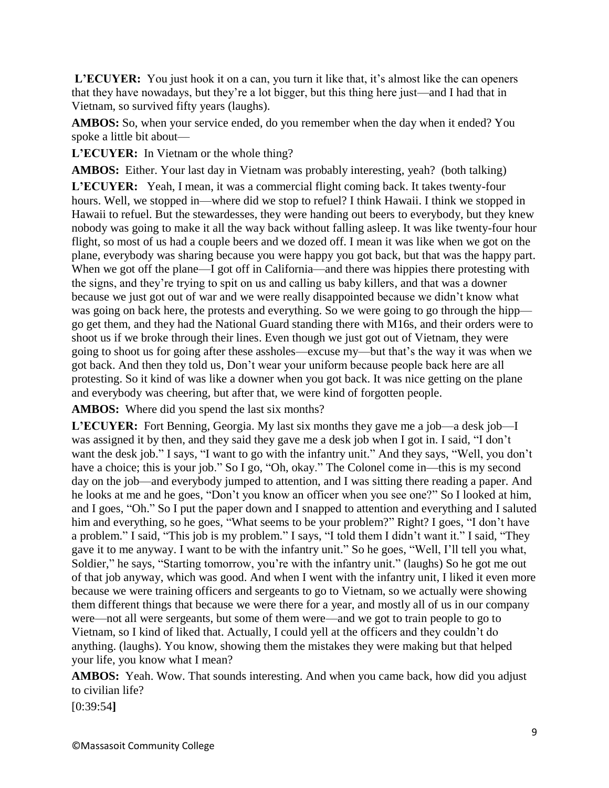L'ECUYER: You just hook it on a can, you turn it like that, it's almost like the can openers that they have nowadays, but they're a lot bigger, but this thing here just—and I had that in Vietnam, so survived fifty years (laughs).

**AMBOS:** So, when your service ended, do you remember when the day when it ended? You spoke a little bit about—

**L'ECUYER:** In Vietnam or the whole thing?

**AMBOS:** Either. Your last day in Vietnam was probably interesting, yeah? (both talking)

**L'ECUYER:** Yeah, I mean, it was a commercial flight coming back. It takes twenty-four hours. Well, we stopped in—where did we stop to refuel? I think Hawaii. I think we stopped in Hawaii to refuel. But the stewardesses, they were handing out beers to everybody, but they knew nobody was going to make it all the way back without falling asleep. It was like twenty-four hour flight, so most of us had a couple beers and we dozed off. I mean it was like when we got on the plane, everybody was sharing because you were happy you got back, but that was the happy part. When we got off the plane—I got off in California—and there was hippies there protesting with the signs, and they're trying to spit on us and calling us baby killers, and that was a downer because we just got out of war and we were really disappointed because we didn't know what was going on back here, the protests and everything. So we were going to go through the hipp go get them, and they had the National Guard standing there with M16s, and their orders were to shoot us if we broke through their lines. Even though we just got out of Vietnam, they were going to shoot us for going after these assholes—excuse my—but that's the way it was when we got back. And then they told us, Don't wear your uniform because people back here are all protesting. So it kind of was like a downer when you got back. It was nice getting on the plane and everybody was cheering, but after that, we were kind of forgotten people.

**AMBOS:** Where did you spend the last six months?

**L'ECUYER:** Fort Benning, Georgia. My last six months they gave me a job—a desk job—I was assigned it by then, and they said they gave me a desk job when I got in. I said, "I don't want the desk job." I says, "I want to go with the infantry unit." And they says, "Well, you don't have a choice; this is your job." So I go, "Oh, okay." The Colonel come in—this is my second day on the job—and everybody jumped to attention, and I was sitting there reading a paper. And he looks at me and he goes, "Don't you know an officer when you see one?" So I looked at him, and I goes, "Oh." So I put the paper down and I snapped to attention and everything and I saluted him and everything, so he goes, "What seems to be your problem?" Right? I goes, "I don't have a problem." I said, "This job is my problem." I says, "I told them I didn't want it." I said, "They gave it to me anyway. I want to be with the infantry unit." So he goes, "Well, I'll tell you what, Soldier," he says, "Starting tomorrow, you're with the infantry unit." (laughs) So he got me out of that job anyway, which was good. And when I went with the infantry unit, I liked it even more because we were training officers and sergeants to go to Vietnam, so we actually were showing them different things that because we were there for a year, and mostly all of us in our company were—not all were sergeants, but some of them were—and we got to train people to go to Vietnam, so I kind of liked that. Actually, I could yell at the officers and they couldn't do anything. (laughs). You know, showing them the mistakes they were making but that helped your life, you know what I mean?

**AMBOS:** Yeah. Wow. That sounds interesting. And when you came back, how did you adjust to civilian life?

[0:39:54**]**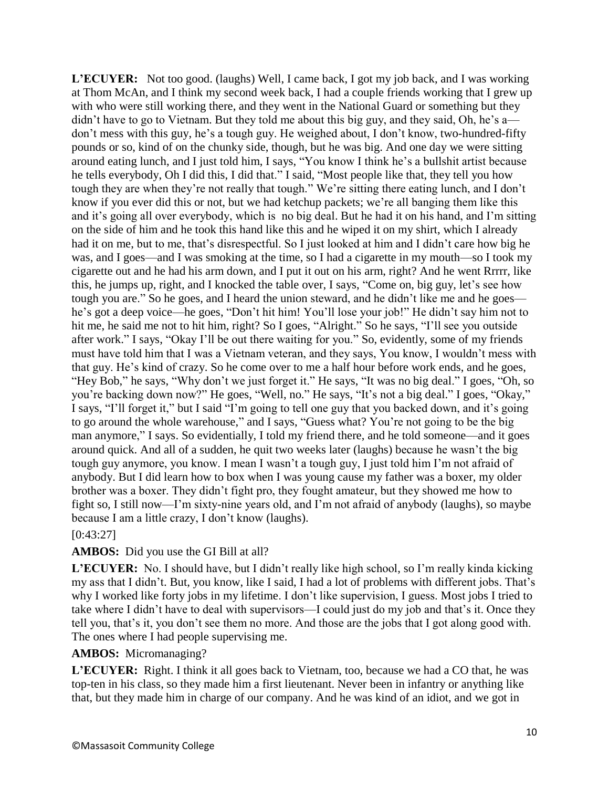**L'ECUYER:** Not too good. (laughs) Well, I came back, I got my job back, and I was working at Thom McAn, and I think my second week back, I had a couple friends working that I grew up with who were still working there, and they went in the National Guard or something but they didn't have to go to Vietnam. But they told me about this big guy, and they said, Oh, he's a don't mess with this guy, he's a tough guy. He weighed about, I don't know, two-hundred-fifty pounds or so, kind of on the chunky side, though, but he was big. And one day we were sitting around eating lunch, and I just told him, I says, "You know I think he's a bullshit artist because he tells everybody, Oh I did this, I did that." I said, "Most people like that, they tell you how tough they are when they're not really that tough." We're sitting there eating lunch, and I don't know if you ever did this or not, but we had ketchup packets; we're all banging them like this and it's going all over everybody, which is no big deal. But he had it on his hand, and I'm sitting on the side of him and he took this hand like this and he wiped it on my shirt, which I already had it on me, but to me, that's disrespectful. So I just looked at him and I didn't care how big he was, and I goes—and I was smoking at the time, so I had a cigarette in my mouth—so I took my cigarette out and he had his arm down, and I put it out on his arm, right? And he went Rrrrr, like this, he jumps up, right, and I knocked the table over, I says, "Come on, big guy, let's see how tough you are." So he goes, and I heard the union steward, and he didn't like me and he goes he's got a deep voice—he goes, "Don't hit him! You'll lose your job!" He didn't say him not to hit me, he said me not to hit him, right? So I goes, "Alright." So he says, "I'll see you outside after work." I says, "Okay I'll be out there waiting for you." So, evidently, some of my friends must have told him that I was a Vietnam veteran, and they says, You know, I wouldn't mess with that guy. He's kind of crazy. So he come over to me a half hour before work ends, and he goes, "Hey Bob," he says, "Why don't we just forget it." He says, "It was no big deal." I goes, "Oh, so you're backing down now?" He goes, "Well, no." He says, "It's not a big deal." I goes, "Okay," I says, "I'll forget it," but I said "I'm going to tell one guy that you backed down, and it's going to go around the whole warehouse," and I says, "Guess what? You're not going to be the big man anymore," I says. So evidentially, I told my friend there, and he told someone—and it goes around quick. And all of a sudden, he quit two weeks later (laughs) because he wasn't the big tough guy anymore, you know. I mean I wasn't a tough guy, I just told him I'm not afraid of anybody. But I did learn how to box when I was young cause my father was a boxer, my older brother was a boxer. They didn't fight pro, they fought amateur, but they showed me how to fight so, I still now—I'm sixty-nine years old, and I'm not afraid of anybody (laughs), so maybe because I am a little crazy, I don't know (laughs).

#### [0:43:27]

#### **AMBOS:** Did you use the GI Bill at all?

**L'ECUYER:** No. I should have, but I didn't really like high school, so I'm really kinda kicking my ass that I didn't. But, you know, like I said, I had a lot of problems with different jobs. That's why I worked like forty jobs in my lifetime. I don't like supervision, I guess. Most jobs I tried to take where I didn't have to deal with supervisors—I could just do my job and that's it. Once they tell you, that's it, you don't see them no more. And those are the jobs that I got along good with. The ones where I had people supervising me.

#### **AMBOS:** Micromanaging?

**L'ECUYER:** Right. I think it all goes back to Vietnam, too, because we had a CO that, he was top-ten in his class, so they made him a first lieutenant. Never been in infantry or anything like that, but they made him in charge of our company. And he was kind of an idiot, and we got in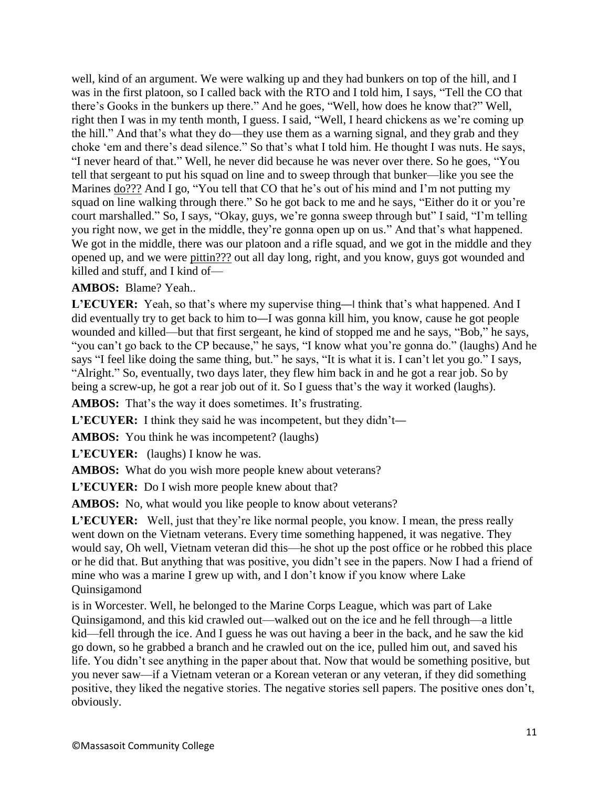well, kind of an argument. We were walking up and they had bunkers on top of the hill, and I was in the first platoon, so I called back with the RTO and I told him, I says, "Tell the CO that there's Gooks in the bunkers up there." And he goes, "Well, how does he know that?" Well, right then I was in my tenth month, I guess. I said, "Well, I heard chickens as we're coming up the hill." And that's what they do—they use them as a warning signal, and they grab and they choke 'em and there's dead silence." So that's what I told him. He thought I was nuts. He says, "I never heard of that." Well, he never did because he was never over there. So he goes, "You tell that sergeant to put his squad on line and to sweep through that bunker—like you see the Marines <u>do???</u> And I go, "You tell that CO that he's out of his mind and I'm not putting my squad on line walking through there." So he got back to me and he says, "Either do it or you're court marshalled." So, I says, "Okay, guys, we're gonna sweep through but" I said, "I'm telling you right now, we get in the middle, they're gonna open up on us." And that's what happened. We got in the middle, there was our platoon and a rifle squad, and we got in the middle and they opened up, and we were pittin??? out all day long, right, and you know, guys got wounded and killed and stuff, and I kind of—

#### **AMBOS:** Blame? Yeah..

**L'ECUYER:** Yeah, so that's where my supervise thing—I think that's what happened. And I did eventually try to get back to him to—I was gonna kill him, you know, cause he got people wounded and killed—but that first sergeant, he kind of stopped me and he says, "Bob," he says, "you can't go back to the CP because," he says, "I know what you're gonna do." (laughs) And he says "I feel like doing the same thing, but." he says, "It is what it is. I can't let you go." I says, "Alright." So, eventually, two days later, they flew him back in and he got a rear job. So by being a screw-up, he got a rear job out of it. So I guess that's the way it worked (laughs).

AMBOS: That's the way it does sometimes. It's frustrating.

**L'ECUYER:** I think they said he was incompetent, but they didn't—

**AMBOS:** You think he was incompetent? (laughs)

**L'ECUYER:** (laughs) I know he was.

**AMBOS:** What do you wish more people knew about veterans?

L'ECUYER: Do I wish more people knew about that?

**AMBOS:** No, what would you like people to know about veterans?

L'ECUYER: Well, just that they're like normal people, you know. I mean, the press really went down on the Vietnam veterans. Every time something happened, it was negative. They would say, Oh well, Vietnam veteran did this—he shot up the post office or he robbed this place or he did that. But anything that was positive, you didn't see in the papers. Now I had a friend of mine who was a marine I grew up with, and I don't know if you know where Lake Quinsigamond

is in Worcester. Well, he belonged to the Marine Corps League, which was part of Lake Quinsigamond, and this kid crawled out—walked out on the ice and he fell through—a little kid—fell through the ice. And I guess he was out having a beer in the back, and he saw the kid go down, so he grabbed a branch and he crawled out on the ice, pulled him out, and saved his life. You didn't see anything in the paper about that. Now that would be something positive, but you never saw—if a Vietnam veteran or a Korean veteran or any veteran, if they did something positive, they liked the negative stories. The negative stories sell papers. The positive ones don't, obviously.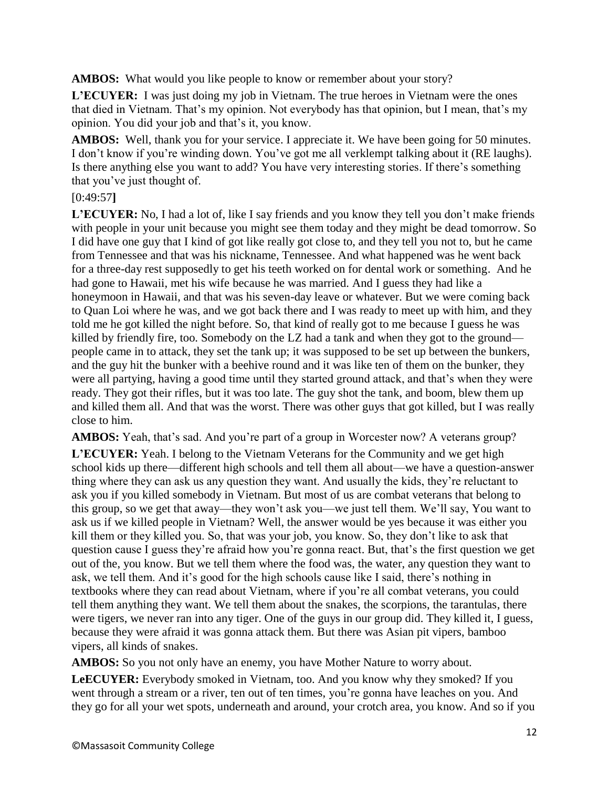**AMBOS:** What would you like people to know or remember about your story?

**L'ECUYER:** I was just doing my job in Vietnam. The true heroes in Vietnam were the ones that died in Vietnam. That's my opinion. Not everybody has that opinion, but I mean, that's my opinion. You did your job and that's it, you know.

AMBOS: Well, thank you for your service. I appreciate it. We have been going for 50 minutes. I don't know if you're winding down. You've got me all verklempt talking about it (RE laughs). Is there anything else you want to add? You have very interesting stories. If there's something that you've just thought of.

## [0:49:57**]**

**L'ECUYER:** No, I had a lot of, like I say friends and you know they tell you don't make friends with people in your unit because you might see them today and they might be dead tomorrow. So I did have one guy that I kind of got like really got close to, and they tell you not to, but he came from Tennessee and that was his nickname, Tennessee. And what happened was he went back for a three-day rest supposedly to get his teeth worked on for dental work or something. And he had gone to Hawaii, met his wife because he was married. And I guess they had like a honeymoon in Hawaii, and that was his seven-day leave or whatever. But we were coming back to Quan Loi where he was, and we got back there and I was ready to meet up with him, and they told me he got killed the night before. So, that kind of really got to me because I guess he was killed by friendly fire, too. Somebody on the LZ had a tank and when they got to the ground people came in to attack, they set the tank up; it was supposed to be set up between the bunkers, and the guy hit the bunker with a beehive round and it was like ten of them on the bunker, they were all partying, having a good time until they started ground attack, and that's when they were ready. They got their rifles, but it was too late. The guy shot the tank, and boom, blew them up and killed them all. And that was the worst. There was other guys that got killed, but I was really close to him.

**AMBOS:** Yeah, that's sad. And you're part of a group in Worcester now? A veterans group?

**L'ECUYER:** Yeah. I belong to the Vietnam Veterans for the Community and we get high school kids up there—different high schools and tell them all about—we have a question-answer thing where they can ask us any question they want. And usually the kids, they're reluctant to ask you if you killed somebody in Vietnam. But most of us are combat veterans that belong to this group, so we get that away—they won't ask you—we just tell them. We'll say, You want to ask us if we killed people in Vietnam? Well, the answer would be yes because it was either you kill them or they killed you. So, that was your job, you know. So, they don't like to ask that question cause I guess they're afraid how you're gonna react. But, that's the first question we get out of the, you know. But we tell them where the food was, the water, any question they want to ask, we tell them. And it's good for the high schools cause like I said, there's nothing in textbooks where they can read about Vietnam, where if you're all combat veterans, you could tell them anything they want. We tell them about the snakes, the scorpions, the tarantulas, there were tigers, we never ran into any tiger. One of the guys in our group did. They killed it, I guess, because they were afraid it was gonna attack them. But there was Asian pit vipers, bamboo vipers, all kinds of snakes.

**AMBOS:** So you not only have an enemy, you have Mother Nature to worry about.

**LeECUYER:** Everybody smoked in Vietnam, too. And you know why they smoked? If you went through a stream or a river, ten out of ten times, you're gonna have leaches on you. And they go for all your wet spots, underneath and around, your crotch area, you know. And so if you